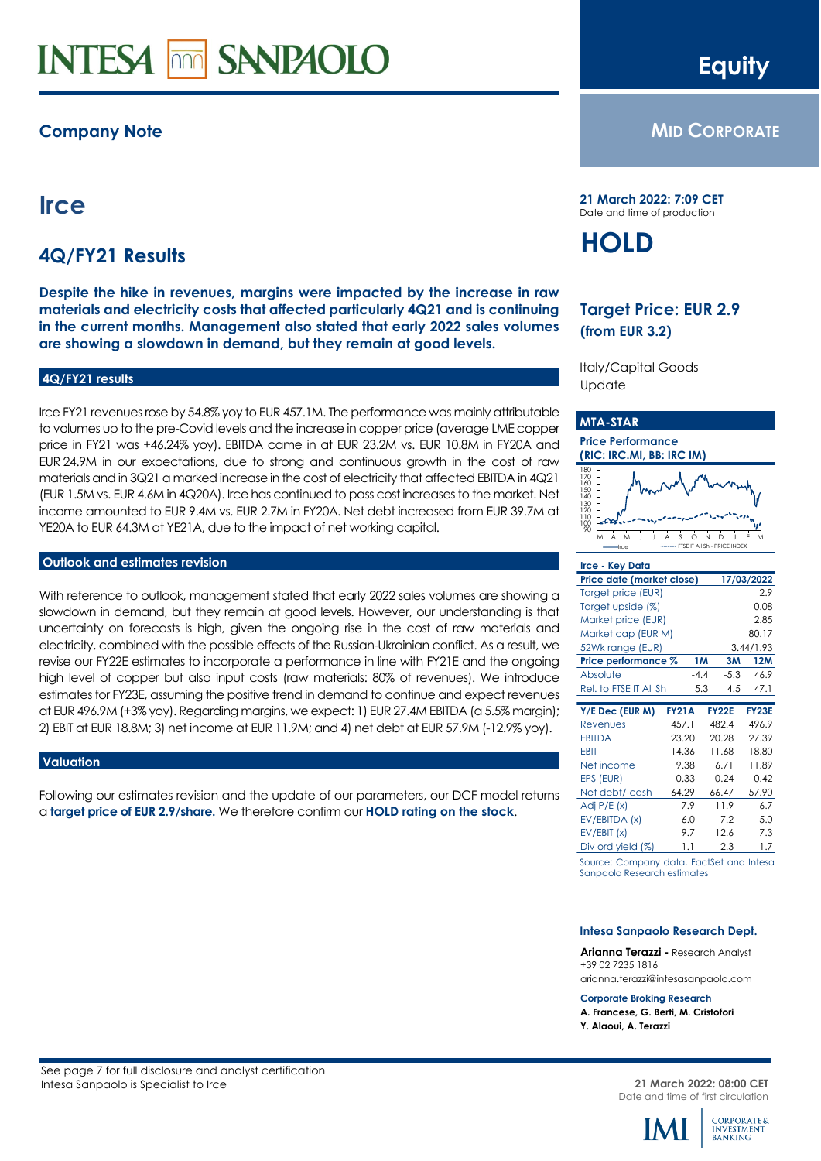# **INTESA mm** SANPAOLO

### **Company Note**

# **Irce**

### **4Q/FY21 Results**

**Despite the hike in revenues, margins were impacted by the increase in raw materials and electricity costs that affected particularly 4Q21 and is continuing in the current months. Management also stated that early 2022 sales volumes are showing a slowdown in demand, but they remain at good levels.** 

### **4Q/FY21 results**

Irce FY21 revenues rose by 54.8% yoy to EUR 457.1M. The performance was mainly attributable to volumes up to the pre-Covid levels and the increase in copper price (average LME copper price in FY21 was +46.24% yoy). EBITDA came in at EUR 23.2M vs. EUR 10.8M in FY20A and EUR 24.9M in our expectations, due to strong and continuous growth in the cost of raw materials and in 3Q21 a marked increase in the cost of electricity that affected EBITDA in 4Q21 (EUR 1.5M vs. EUR 4.6M in 4Q20A). Irce has continued to pass cost increases to the market. Net income amounted to EUR 9.4M vs. EUR 2.7M in FY20A. Net debt increased from EUR 39.7M at YE20A to EUR 64.3M at YE21A, due to the impact of net working capital.

### **Outlook and estimates revision**

With reference to outlook, management stated that early 2022 sales volumes are showing a slowdown in demand, but they remain at good levels. However, our understanding is that uncertainty on forecasts is high, given the ongoing rise in the cost of raw materials and electricity, combined with the possible effects of the Russian-Ukrainian conflict. As a result, we revise our FY22E estimates to incorporate a performance in line with FY21E and the ongoing high level of copper but also input costs (raw materials: 80% of revenues). We introduce estimates for FY23E, assuming the positive trend in demand to continue and expect revenues at EUR 496.9M (+3% yoy). Regarding margins, we expect: 1) EUR 27.4M EBITDA (a 5.5% margin); 2) EBIT at EUR 18.8M; 3) net income at EUR 11.9M; and 4) net debt at EUR 57.9M (-12.9% yoy).

#### **Valuation**

Following our estimates revision and the update of our parameters, our DCF model returns a **target price of EUR 2.9/share.** We therefore confirm our **HOLD rating on the stock**.

## **MID CORPORATE**

**21 March 2022: 7:09 CET** Date and time of production

# **HOLD**

### **Target Price: EUR 2.9 (from EUR 3.2)**

Italy/Capital Goods **Update** 

#### **MTA-STAR**

**Price Performance (RIC: IRC.MI, BB: IRC IM)**



| Irce - Key Data           |                        |           |            |  |
|---------------------------|------------------------|-----------|------------|--|
| Price date (market close) |                        |           | 17/03/2022 |  |
| Target price (EUR)        |                        |           | 29         |  |
| Target upside (%)         |                        |           | 0.08       |  |
| Market price (EUR)        |                        |           | 2.85       |  |
| Market cap (EUR M)        | 80.17                  |           |            |  |
| 52Wk range (EUR)          |                        | 3.44/1.93 |            |  |
| Price performance %       | 1M<br><b>12M</b><br>3M |           |            |  |
| Absolute                  | $-44$                  | $-5.3$    | 46.9       |  |
| Rel. to FTSE IT All Sh    | 5.3                    | 4.5       | 47 1       |  |
|                           |                        |           |            |  |

| Y/E Dec (EUR M)   | <b>FY21A</b> | <b>FY22E</b> | FY23E |
|-------------------|--------------|--------------|-------|
| Revenues          | 457.1        | 482.4        | 496.9 |
| <b>EBITDA</b>     | 23.20        | 20.28        | 27.39 |
| <b>EBIT</b>       | 14.36        | 11.68        | 18.80 |
| Net income        | 9.38         | 6.71         | 11.89 |
| EPS (EUR)         | 0.33         | 0.24         | 0.42  |
| Net debt/-cash    | 64.29        | 66.47        | 57.90 |
| Adj P/E (x)       | 7.9          | 11.9         | 6.7   |
| EV/EBITDA (x)     | 6.0          | 7.2          | 5.0   |
| EV/EBIT (x)       | 9.7          | 12.6         | 7.3   |
| Div ord yield (%) | 11           | 2.3          | 17    |

Source: Company data, FactSet and Intesa Sanpaolo Research estimates

#### **Intesa Sanpaolo Research Dept.**

**Arianna Terazzi -** Research Analyst +39 02 7235 1816 arianna.terazzi@intesasanpaolo.com

**Corporate Broking Research**

**A. Francese, G. Berti, M. Cristofori**

**Y. Alaoui, A. Terazzi**



<span id="page-0-0"></span>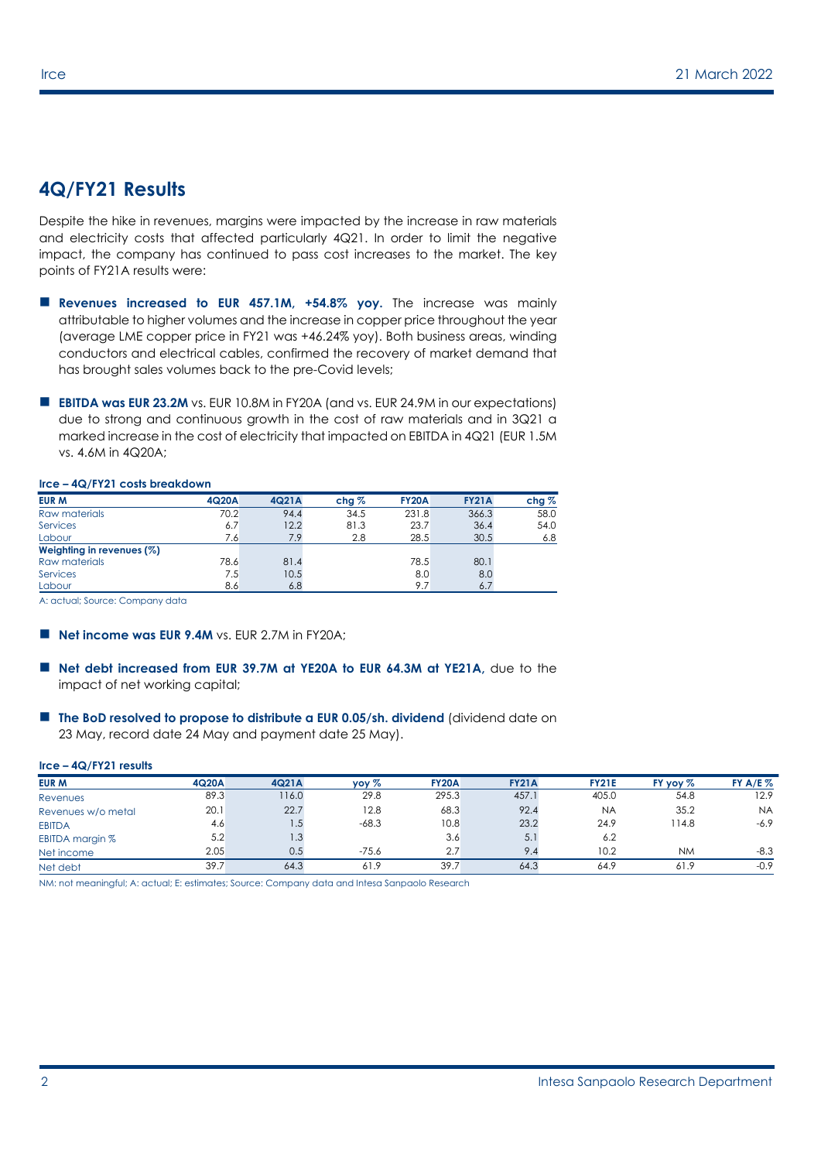### **4Q/FY21 Results**

Despite the hike in revenues, margins were impacted by the increase in raw materials and electricity costs that affected particularly 4Q21. In order to limit the negative impact, the company has continued to pass cost increases to the market. The key points of FY21A results were:

- **Revenues increased to EUR 457.1M, +54.8% yoy.** The increase was mainly attributable to higher volumes and the increase in copper price throughout the year (average LME copper price in FY21 was +46.24% yoy). Both business areas, winding conductors and electrical cables, confirmed the recovery of market demand that has brought sales volumes back to the pre-Covid levels;
- **EBITDA was EUR 23.2M** vs. EUR 10.8M in FY20A (and vs. EUR 24.9M in our expectations) due to strong and continuous growth in the cost of raw materials and in 3Q21 a marked increase in the cost of electricity that impacted on EBITDA in 4Q21 (EUR 1.5M vs. 4.6M in 4Q20A;

#### **Irce – 4Q/FY21 costs breakdown**

| <b>EUR M</b>              | 4Q20A | 4Q21A | chg% | <b>FY20A</b> | <b>FY21A</b> | chg% |
|---------------------------|-------|-------|------|--------------|--------------|------|
| Raw materials             | 70.2  | 94.4  | 34.5 | 231.8        | 366.3        | 58.0 |
| <b>Services</b>           | 6.7   | 12.2  | 81.3 | 23.7         | 36.4         | 54.0 |
| Labour                    | 7.6   | 7.9   | 2.8  | 28.5         | 30.5         | 6.8  |
| Weighting in revenues (%) |       |       |      |              |              |      |
| Raw materials             | 78.6  | 81.4  |      | 78.5         | 80.1         |      |
| <b>Services</b>           | 7.5   | 10.5  |      | 8.0          | 8.0          |      |
| Labour                    | 8.6   | 6.8   |      | 9.7          | 6.7          |      |

A: actual; Source: Company data

- **Net income was EUR 9.4M** vs. EUR 2.7M in FY20A:
- **Net debt increased from EUR 39.7M at YE20A to EUR 64.3M at YE21A,** due to the impact of net working capital;
- **The BoD resolved to propose to distribute a EUR 0.05/sh. dividend** (dividend date on 23 May, record date 24 May and payment date 25 May).

#### **Irce – 4Q/FY21 results**

| <b>EUR M</b>       | 4Q20A | 4Q21A | yoy %   | <b>FY20A</b> | <b>FY21A</b> | <b>FY21E</b> | $FY$ yoy $%$ | $FY$ A/E $%$ |
|--------------------|-------|-------|---------|--------------|--------------|--------------|--------------|--------------|
| Revenues           | 89.3  | 16.0  | 29.8    | 295.3        | 457.1        | 405.0        | 54.8         | 12.9         |
| Revenues w/o metal | 20.1  | 22.7  | 12.8    | 68.3         | 92.4         | <b>NA</b>    | 35.2         | <b>NA</b>    |
| <b>EBITDA</b>      | 4.6   | l .5  | $-68.3$ | 10.8         | 23.2         | 24.9         | 14.8         | $-6.9$       |
| EBITDA margin %    | 5.2   | 1.3   |         | 3.6          | J.           | 6.2          |              |              |
| Net income         | 2.05  | 0.5   | $-75.6$ | 2.7          | 9.4          | 10.2         | <b>NM</b>    | $-8.3$       |
| Net debt           | 39.7  | 64.3  | 61.9    | 39.7         | 64.3         | 64.9         |              | $-0.9$       |

NM: not meaningful; A: actual; E: estimates; Source: Company data and Intesa Sanpaolo Research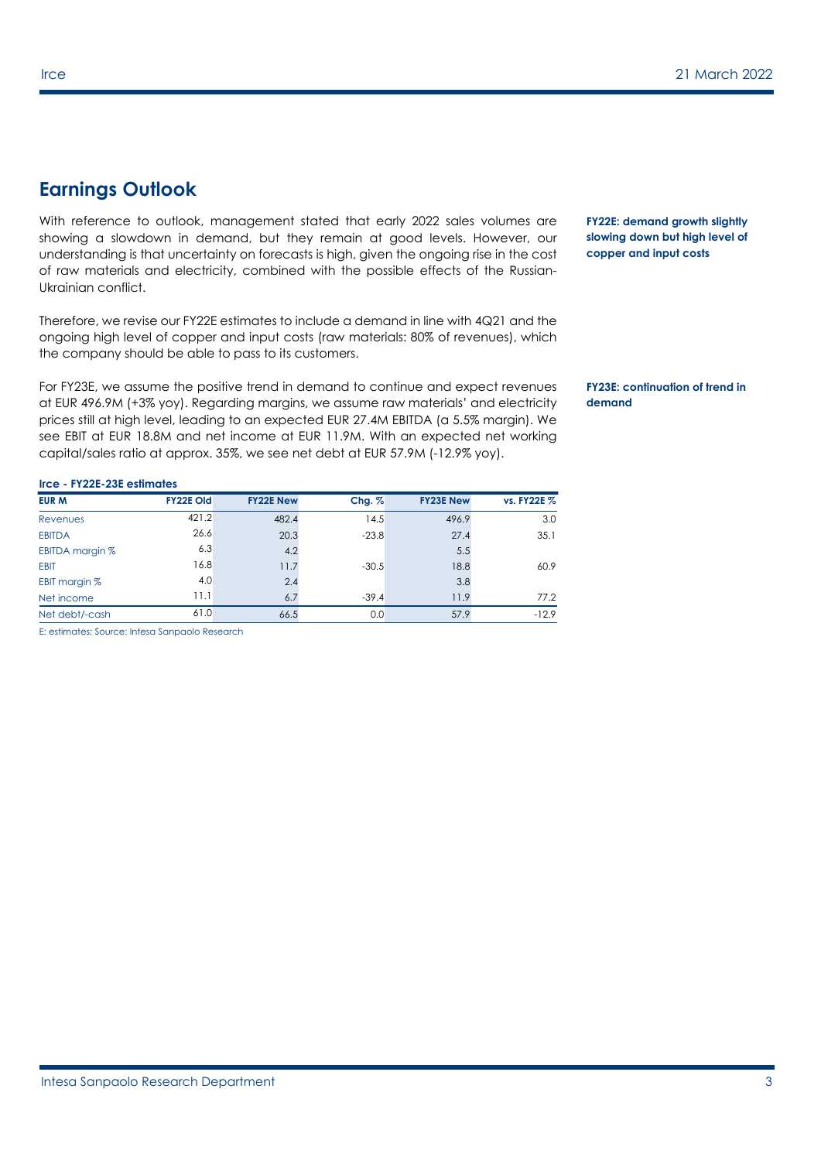### **Earnings Outlook**

With reference to outlook, management stated that early 2022 sales volumes are showing a slowdown in demand, but they remain at good levels. However, our understanding is that uncertainty on forecasts is high, given the ongoing rise in the cost of raw materials and electricity, combined with the possible effects of the Russian-Ukrainian conflict.

Therefore, we revise our FY22E estimates to include a demand in line with 4Q21 and the ongoing high level of copper and input costs (raw materials: 80% of revenues), which the company should be able to pass to its customers.

For FY23E, we assume the positive trend in demand to continue and expect revenues at EUR 496.9M (+3% yoy). Regarding margins, we assume raw materials' and electricity prices still at high level, leading to an expected EUR 27.4M EBITDA (a 5.5% margin). We see EBIT at EUR 18.8M and net income at EUR 11.9M. With an expected net working capital/sales ratio at approx. 35%, we see net debt at EUR 57.9M (-12.9% yoy).

**FY22E: demand growth slightly slowing down but high level of copper and input costs**

**FY23E: continuation of trend in demand** 

#### **Irce - FY22E-23E estimates**

| <b>EUR M</b>    | <b>FY22E Old</b> | <b>FY22E New</b> | Chg. %  | <b>FY23E New</b> | vs. FY22E % |
|-----------------|------------------|------------------|---------|------------------|-------------|
| <b>Revenues</b> | 421.2            | 482.4            | 14.5    | 496.9            | 3.0         |
| <b>EBITDA</b>   | 26.6             | 20.3             | $-23.8$ | 27.4             | 35.1        |
| EBITDA margin % | 6.3              | 4.2              |         | 5.5              |             |
| <b>EBIT</b>     | 16.8             | 11.7             | $-30.5$ | 18.8             | 60.9        |
| EBIT margin %   | 4.0              | 2.4              |         | 3.8              |             |
| Net income      | 11.1             | 6.7              | $-39.4$ | 11.9             | 77.2        |
| Net debt/-cash  | 61.0             | 66.5             | 0.0     | 57.9             | $-12.9$     |

E: estimates; Source: Intesa Sanpaolo Research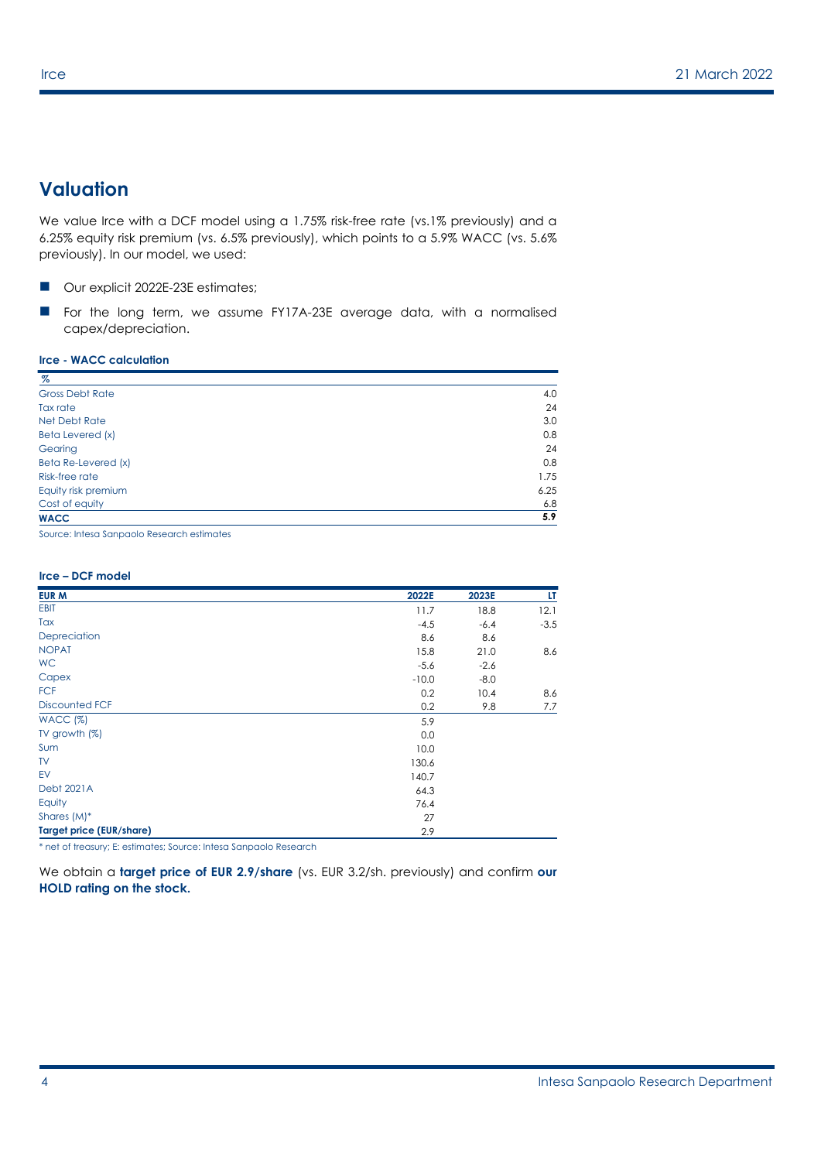### **Valuation**

We value Irce with a DCF model using a 1.75% risk-free rate (vs.1% previously) and a 6.25% equity risk premium (vs. 6.5% previously), which points to a 5.9% WACC (vs. 5.6% previously). In our model, we used:

- Our explicit 2022E-23E estimates;
- **For the long term, we assume FY17A-23E average data, with a normalised** capex/depreciation.

#### **Irce - WACC calculation**

| $\%$                   |      |
|------------------------|------|
| <b>Gross Debt Rate</b> | 4.0  |
| Tax rate               | 24   |
| Net Debt Rate          | 3.0  |
| Beta Levered (x)       | 0.8  |
| Gearing                | 24   |
| Beta Re-Levered (x)    | 0.8  |
| Risk-free rate         | 1.75 |
| Equity risk premium    | 6.25 |
| Cost of equity         | 6.8  |
| <b>WACC</b>            | 5.9  |

Source: Intesa Sanpaolo Research estimates

### **Irce – DCF model**

| <b>EUR M</b>                    | 2022E   | 2023E  | LT.    |
|---------------------------------|---------|--------|--------|
| <b>EBIT</b>                     | 11.7    | 18.8   | 12.1   |
| Tax                             | $-4.5$  | $-6.4$ | $-3.5$ |
| Depreciation                    | 8.6     | 8.6    |        |
| <b>NOPAT</b>                    | 15.8    | 21.0   | 8.6    |
| <b>WC</b>                       | $-5.6$  | $-2.6$ |        |
| Capex                           | $-10.0$ | $-8.0$ |        |
| <b>FCF</b>                      | 0.2     | 10.4   | 8.6    |
| <b>Discounted FCF</b>           | 0.2     | 9.8    | 7.7    |
| WACC <sup>(%)</sup>             | 5.9     |        |        |
| TV growth $(\%)$                | 0.0     |        |        |
| Sum                             | 10.0    |        |        |
| <b>TV</b>                       | 130.6   |        |        |
| EV                              | 140.7   |        |        |
| <b>Debt 2021A</b>               | 64.3    |        |        |
| Equity                          | 76.4    |        |        |
| Shares (M)*                     | 27      |        |        |
| <b>Target price (EUR/share)</b> | 2.9     |        |        |

\* net of treasury; E: estimates; Source: Intesa Sanpaolo Research

We obtain a **target price of EUR 2.9/share** (vs. EUR 3.2/sh. previously) and confirm **our HOLD rating on the stock.**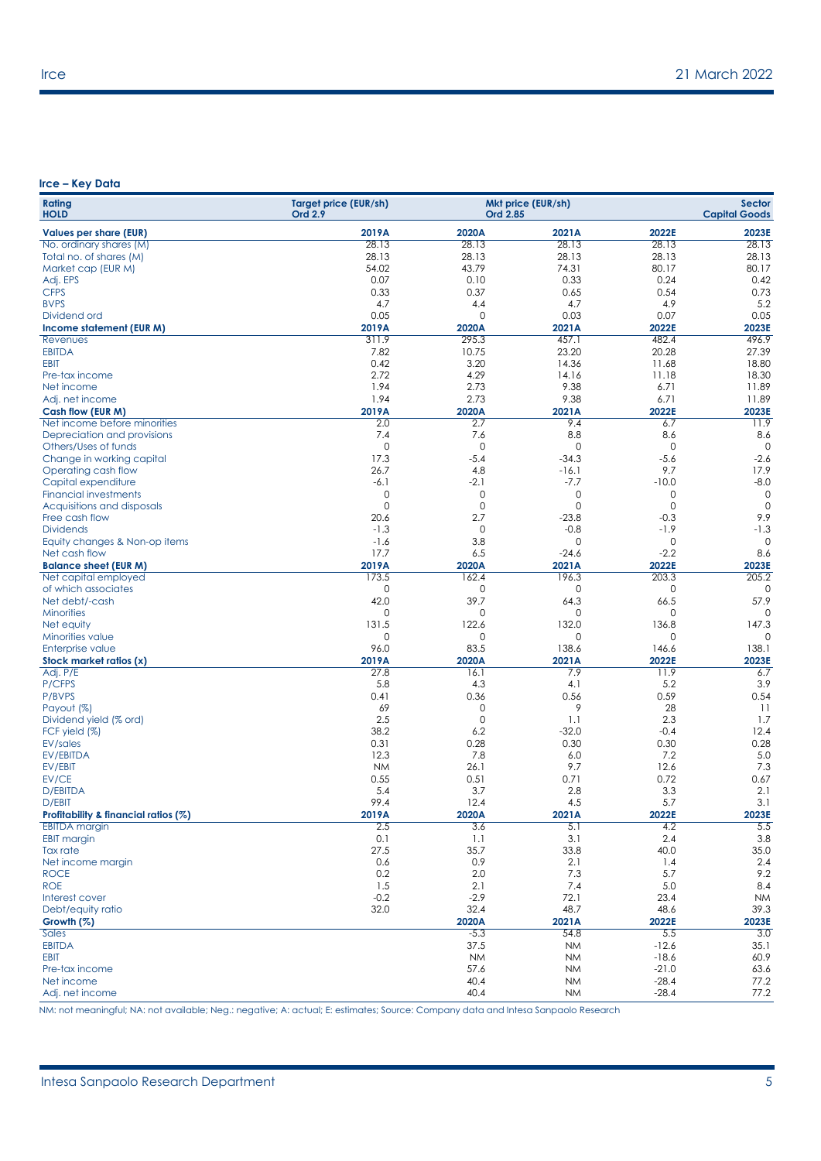### **Irce – Key Data**

| Rating<br><b>HOLD</b>                             | Target price (EUR/sh)<br>Ord 2.9 |             | Mkt price (EUR/sh)<br>Ord 2.85 |                       | Sector<br><b>Capital Goods</b> |
|---------------------------------------------------|----------------------------------|-------------|--------------------------------|-----------------------|--------------------------------|
| <b>Values per share (EUR)</b>                     | 2019A                            | 2020A       | 2021A                          | 2022E                 | 2023E                          |
| No. ordinary shares (M)                           | 28.13                            | 28.13       | 28.13                          | 28.13                 | 28.13                          |
| Total no. of shares (M)                           | 28.13                            | 28.13       | 28.13                          | 28.13                 | 28.13                          |
| Market cap (EUR M)                                | 54.02                            | 43.79       | 74.31                          | 80.17                 | 80.17                          |
| Adj. EPS                                          | 0.07                             | 0.10        | 0.33                           | 0.24                  | 0.42                           |
| <b>CFPS</b>                                       | 0.33                             | 0.37        | 0.65                           | 0.54                  | 0.73                           |
| <b>BVPS</b>                                       | 4.7                              | 4.4         | 4.7                            | 4.9                   | 5.2                            |
| Dividend ord                                      | 0.05                             | $\mathbf 0$ | 0.03                           | 0.07                  | 0.05                           |
| Income statement (EUR M)                          | 2019A                            | 2020A       | 2021A                          | 2022E                 | 2023E                          |
| Revenues                                          | 311.9                            | 295.3       | 457.1                          | 482.4                 | 496.9                          |
| <b>EBITDA</b>                                     | 7.82                             | 10.75       | 23.20                          | 20.28                 | 27.39                          |
| <b>EBIT</b>                                       | 0.42                             | 3.20        | 14.36                          | 11.68                 | 18.80                          |
| Pre-tax income                                    | 2.72                             | 4.29        | 14.16                          | 11.18                 | 18.30                          |
| Net income                                        | 1.94                             | 2.73        | 9.38                           | 6.71                  | 11.89                          |
| Adj. net income                                   | 1.94                             | 2.73        | 9.38                           | 6.71                  | 11.89                          |
| Cash flow (EUR M)                                 | 2019A                            | 2020A       | 2021A                          | 2022E                 | 2023E                          |
| Net income before minorities                      | 2.0                              | 2.7         | 9.4                            | 6.7                   | 11.9                           |
| Depreciation and provisions                       | 7.4                              | 7.6         | 8.8                            | 8.6                   | 8.6                            |
| Others/Uses of funds                              | $\mathbf 0$                      | $\mathbf 0$ | $\mathbf 0$                    | 0                     | $\mathbf 0$                    |
| Change in working capital                         | 17.3                             | $-5.4$      | $-34.3$                        | $-5.6$                | $-2.6$                         |
| Operating cash flow                               | 26.7                             | 4.8         | $-16.1$                        | 9.7                   | 17.9                           |
| Capital expenditure                               | $-6.1$                           | $-2.1$      | $-7.7$                         | $-10.0$               | $-8.0$                         |
| <b>Financial investments</b>                      | $\mathbf 0$                      | 0           | $\mathbf 0$                    | 0                     | $\mathbf 0$                    |
| Acquisitions and disposals                        | $\circ$                          | $\mathbf 0$ | $\mathbf 0$                    | $\mathbf{O}$          | $\mathbf 0$                    |
| Free cash flow                                    | 20.6                             | 2.7         | $-23.8$                        | $-0.3$                | 9.9                            |
| <b>Dividends</b><br>Equity changes & Non-op items | $-1.3$<br>$-1.6$                 | 0<br>3.8    | $-0.8$<br>$\mathbf 0$          | $-1.9$<br>$\mathbf 0$ | $-1.3$<br>$\mathbf 0$          |
| Net cash flow                                     | 17.7                             | 6.5         | $-24.6$                        | $-2.2$                | 8.6                            |
| <b>Balance sheet (EUR M)</b>                      | 2019A                            | 2020A       | 2021A                          | 2022E                 | 2023E                          |
| Net capital employed                              | 173.5                            | 162.4       | 196.3                          | 203.3                 | 205.2                          |
| of which associates                               | $\mathbf 0$                      | 0           | $\circ$                        | 0                     | $\mathbf 0$                    |
| Net debt/-cash                                    | 42.0                             | 39.7        | 64.3                           | 66.5                  | 57.9                           |
| <b>Minorities</b>                                 | $\mathbf 0$                      | 0           | $\mathbf 0$                    | 0                     | $\mathbf 0$                    |
| Net equity                                        | 131.5                            | 122.6       | 132.0                          | 136.8                 | 147.3                          |
| Minorities value                                  | $\mathbf 0$                      | 0           | 0                              | $\mathbf{O}$          | $\mathbf 0$                    |
| Enterprise value                                  | 96.0                             | 83.5        | 138.6                          | 146.6                 | 138.1                          |
| Stock market ratios (x)                           | 2019A                            | 2020A       | 2021A                          | 2022E                 | 2023E                          |
| Adj. P/E                                          | 27.8                             | 16.1        | 7.9                            | 11.9                  | 6.7                            |
| P/CFPS                                            | 5.8                              | 4.3         | 4.1                            | 5.2                   | 3.9                            |
| P/BVPS                                            | 0.41                             | 0.36        | 0.56                           | 0.59                  | 0.54                           |
| Payout (%)                                        | 69                               | 0           | 9                              | 28                    | -11                            |
| Dividend yield (% ord)                            | 2.5                              | $\mathbf 0$ | 1.1                            | 2.3                   | 1.7                            |
| FCF yield (%)                                     | 38.2                             | 6.2         | $-32.0$                        | $-0.4$                | 12.4                           |
| <b>EV/sales</b>                                   | 0.31                             | 0.28        | 0.30                           | 0.30                  | 0.28                           |
| EV/EBITDA                                         | 12.3                             | 7.8         | 6.0                            | 7.2                   | 5.0                            |
| EV/EBIT                                           | <b>NM</b>                        | 26.1        | 9.7                            | 12.6                  | 7.3                            |
| EV/CE                                             | 0.55                             | 0.51        | 0.71                           | 0.72                  | 0.67                           |
| <b>D/EBITDA</b>                                   | 5.4                              | 3.7         | 2.8                            | 3.3                   | 2.1                            |
| D/EBIT                                            | 99.4                             | 12.4        | 4.5                            | 5.7                   | 3.1                            |
| Profitability & financial ratios (%)              | 2019A                            | 2020A       | 2021A                          | 2022E                 | 2023E                          |
| <b>EBITDA</b> margin                              | 2.5                              | 3.6         | 5.1                            | 4.2                   | 5.5                            |
| <b>EBIT margin</b>                                | 0.1                              | 1.1         | 3.1                            | 2.4                   | $3.8\,$                        |
| Tax rate                                          | 27.5                             | 35.7<br>0.9 | 33.8                           | 40.0                  | 35.0<br>2.4                    |
| Net income margin                                 | 0.6<br>0.2                       | 2.0         | 2.1<br>7.3                     | 1.4<br>5.7            | 9.2                            |
| <b>ROCE</b><br><b>ROE</b>                         | 1.5                              | 2.1         | 7.4                            | 5.0                   | 8.4                            |
| Interest cover                                    | $-0.2$                           | $-2.9$      | 72.1                           |                       |                                |
| Debt/equity ratio                                 | 32.0                             | 32.4        | 48.7                           | 23.4<br>48.6          | <b>NM</b><br>39.3              |
| Growth (%)                                        |                                  | 2020A       | 2021A                          | 2022E                 | 2023E                          |
| Sales                                             |                                  | $-5.3$      | 54.8                           | 5.5                   | $\overline{3.0}$               |
| <b>EBITDA</b>                                     |                                  | 37.5        | <b>NM</b>                      | $-12.6$               | 35.1                           |
| <b>EBIT</b>                                       |                                  | <b>NM</b>   | <b>NM</b>                      | $-18.6$               | 60.9                           |
| Pre-tax income                                    |                                  | 57.6        | <b>NM</b>                      | $-21.0$               | 63.6                           |
| Net income                                        |                                  | 40.4        | <b>NM</b>                      | $-28.4$               | 77.2                           |
| Adj. net income                                   |                                  | 40.4        | <b>NM</b>                      | $-28.4$               | 77.2                           |

NM: not meaningful; NA: not available; Neg.: negative; A: actual; E: estimates; Source: Company data and Intesa Sanpaolo Research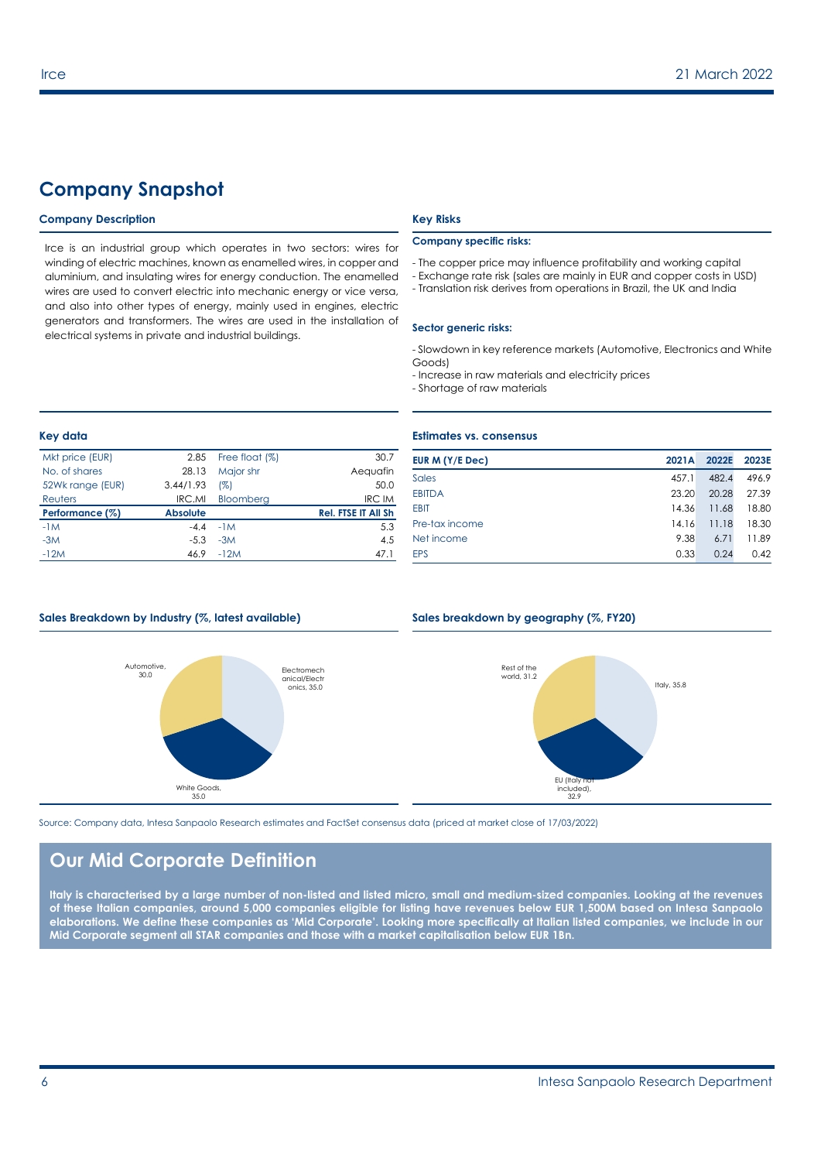## **Company Snapshot**

#### **Company Description Key Risks**

Irce is an industrial group which operates in two sectors: wires for winding of electric machines, known as enamelled wires, in copper and aluminium, and insulating wires for energy conduction. The enamelled wires are used to convert electric into mechanic energy or vice versa, and also into other types of energy, mainly used in engines, electric generators and transformers. The wires are used in the installation of electrical systems in private and industrial buildings.

#### **Company specific risks:**

- The copper price may influence profitability and working capital
- Exchange rate risk (sales are mainly in EUR and copper costs in USD)
- Translation risk derives from operations in Brazil, the UK and India

#### **Sector generic risks:**

- Slowdown in key reference markets (Automotive, Electronics and White Goods)

- Increase in raw materials and electricity prices
- Shortage of raw materials

| Mkt price (EUR)  | 2.85            | Free float (%) | 30.7                       |
|------------------|-----------------|----------------|----------------------------|
| No. of shares    | 28.13           | Major shr      | Aequafin                   |
| 52Wk range (EUR) | 3.44/1.93       | (%)            | 50.0                       |
| Reuters          | IRC.MI          | Bloomberg      | <b>IRC IM</b>              |
| Performance (%)  | <b>Absolute</b> |                | <b>Rel. FTSE IT All Sh</b> |
| $-1M$            | $-4.4$          | $-1M$          | 5.3                        |
| $-3M$            | $-5.3$          | $-3M$          | 4.5                        |
| $-12M$           | 46.9            | $-12M$         | 47.1                       |

#### **Key data Estimates vs. consensus**

| EUR M $(Y/E$ Dec) | 2021A | 2022E | 2023E |
|-------------------|-------|-------|-------|
| Sales             | 457.1 | 482.4 | 496.9 |
| <b>EBITDA</b>     | 23.20 | 20.28 | 27.39 |
| <b>EBIT</b>       | 14.36 | 11.68 | 18.80 |
| Pre-tax income    | 14.16 | 11.18 | 18.30 |
| Net income        | 9.38  | 6.71  | 11.89 |
| <b>EPS</b>        | 0.33  | 0.24  | 0.42  |

#### **Sales Breakdown by Industry (%, latest available) Sales breakdown by geography (%, FY20)**





Source: Company data, Intesa Sanpaolo Research estimates and FactSet consensus data (priced at market close of 17/03/2022)

### **Our Mid Corporate Definition**

**Italy is characterised by a large number of non-listed and listed micro, small and medium-sized companies. Looking at the revenues of these Italian companies, around 5,000 companies eligible for listing have revenues below EUR 1,500M based on Intesa Sanpaolo elaborations. We define these companies as 'Mid Corporate'. Looking more specifically at Italian listed companies, we include in our Mid Corporate segment all STAR companies and those with a market capitalisation below EUR 1Bn.**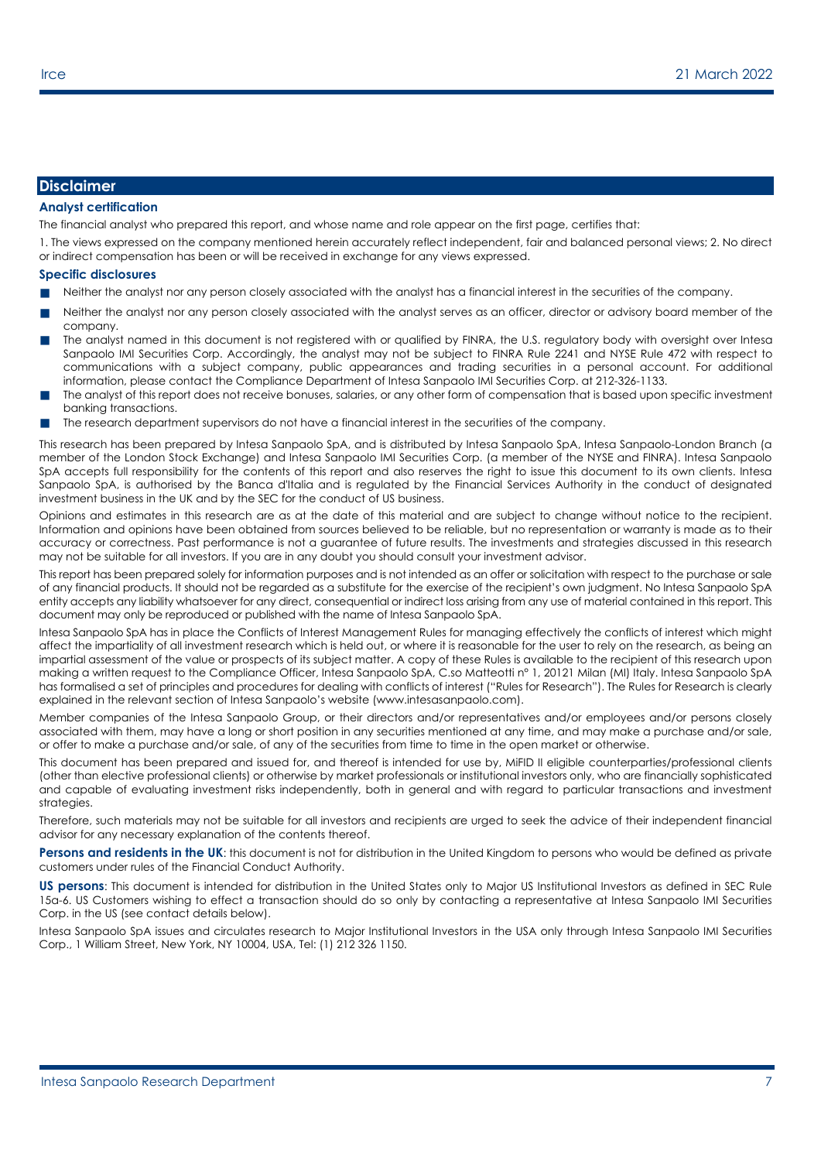### **Disclaimer**

### **Analyst certification**

The financial analyst who prepared this report, and whose name and role appear on the first page, certifies that:

1. The views expressed on the company mentioned herein accurately reflect independent, fair and balanced personal views; 2. No direct or indirect compensation has been or will be received in exchange for any views expressed.

#### **Specific disclosures**

- Neither the analyst nor any person closely associated with the analyst has a financial interest in the securities of the company.
- Neither the analyst nor any person closely associated with the analyst serves as an officer, director or advisory board member of the company.
- The analyst named in this document is not registered with or qualified by FINRA, the U.S. regulatory body with oversight over Intesa Sanpaolo IMI Securities Corp. Accordingly, the analyst may not be subject to FINRA Rule 2241 and NYSE Rule 472 with respect to communications with a subject company, public appearances and trading securities in a personal account. For additional information, please contact the Compliance Department of Intesa Sanpaolo IMI Securities Corp. at 212-326-1133.
- The analyst of this report does not receive bonuses, salaries, or any other form of compensation that is based upon specific investment banking transactions.
- The research department supervisors do not have a financial interest in the securities of the company.

This research has been prepared by Intesa Sanpaolo SpA, and is distributed by Intesa Sanpaolo SpA, Intesa Sanpaolo-London Branch (a member of the London Stock Exchange) and Intesa Sanpaolo IMI Securities Corp. (a member of the NYSE and FINRA). Intesa Sanpaolo SpA accepts full responsibility for the contents of this report and also reserves the right to issue this document to its own clients. Intesa Sanpaolo SpA, is authorised by the Banca d'Italia and is regulated by the Financial Services Authority in the conduct of designated investment business in the UK and by the SEC for the conduct of US business.

Opinions and estimates in this research are as at the date of this material and are subject to change without notice to the recipient. Information and opinions have been obtained from sources believed to be reliable, but no representation or warranty is made as to their accuracy or correctness. Past performance is not a guarantee of future results. The investments and strategies discussed in this research may not be suitable for all investors. If you are in any doubt you should consult your investment advisor.

This report has been prepared solely for information purposes and is not intended as an offer or solicitation with respect to the purchase or sale of any financial products. It should not be regarded as a substitute for the exercise of the recipient's own judgment. No Intesa Sanpaolo SpA entity accepts any liability whatsoever for any direct, consequential or indirect loss arising from any use of material contained in this report. This document may only be reproduced or published with the name of Intesa Sanpaolo SpA.

Intesa Sanpaolo SpA has in place the Conflicts of Interest Management Rules for managing effectively the conflicts of interest which might affect the impartiality of all investment research which is held out, or where it is reasonable for the user to rely on the research, as being an impartial assessment of the value or prospects of its subject matter. A copy of these Rules is available to the recipient of this research upon making a written request to the Compliance Officer, Intesa Sanpaolo SpA, C.so Matteotti n° 1, 20121 Milan (MI) Italy. Intesa Sanpaolo SpA has formalised a set of principles and procedures for dealing with conflicts of interest ("Rules for Research"). The Rules for Research is clearly explained in the relevant section of Intesa Sanpaolo's website (www.intesasanpaolo.com).

Member companies of the Intesa Sanpaolo Group, or their directors and/or representatives and/or employees and/or persons closely associated with them, may have a long or short position in any securities mentioned at any time, and may make a purchase and/or sale, or offer to make a purchase and/or sale, of any of the securities from time to time in the open market or otherwise.

This document has been prepared and issued for, and thereof is intended for use by, MiFID II eligible counterparties/professional clients (other than elective professional clients) or otherwise by market professionals or institutional investors only, who are financially sophisticated and capable of evaluating investment risks independently, both in general and with regard to particular transactions and investment strategies.

Therefore, such materials may not be suitable for all investors and recipients are urged to seek the advice of their independent financial advisor for any necessary explanation of the contents thereof.

Persons and residents in the UK: this document is not for distribution in the United Kingdom to persons who would be defined as private customers under rules of the Financial Conduct Authority.

**US persons**: This document is intended for distribution in the United States only to Major US Institutional Investors as defined in SEC Rule 15a-6. US Customers wishing to effect a transaction should do so only by contacting a representative at Intesa Sanpaolo IMI Securities Corp. in the US (see contact details below).

Intesa Sanpaolo SpA issues and circulates research to Major Institutional Investors in the USA only through Intesa Sanpaolo IMI Securities Corp., 1 William Street, New York, NY 10004, USA, Tel: (1) 212 326 1150.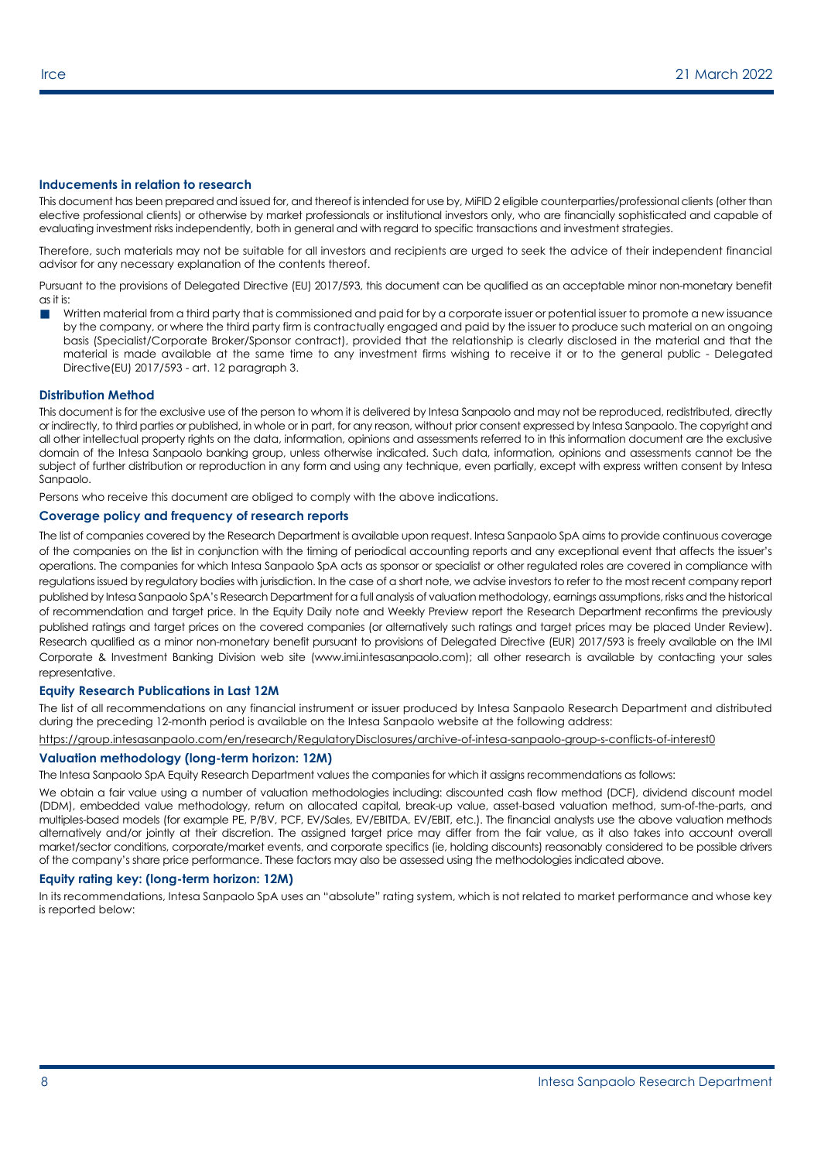#### **Inducements in relation to research**

This document has been prepared and issued for, and thereof is intended for use by, MiFID 2 eligible counterparties/professional clients (other than elective professional clients) or otherwise by market professionals or institutional investors only, who are financially sophisticated and capable of evaluating investment risks independently, both in general and with regard to specific transactions and investment strategies.

Therefore, such materials may not be suitable for all investors and recipients are urged to seek the advice of their independent financial advisor for any necessary explanation of the contents thereof.

Pursuant to the provisions of Delegated Directive (EU) 2017/593, this document can be qualified as an acceptable minor non-monetary benefit as it is:

Written material from a third party that is commissioned and paid for by a corporate issuer or potential issuer to promote a new issuance by the company, or where the third party firm is contractually engaged and paid by the issuer to produce such material on an ongoing basis (Specialist/Corporate Broker/Sponsor contract), provided that the relationship is clearly disclosed in the material and that the material is made available at the same time to any investment firms wishing to receive it or to the general public - Delegated Directive(EU) 2017/593 - art. 12 paragraph 3.

#### **Distribution Method**

This document is for the exclusive use of the person to whom it is delivered by Intesa Sanpaolo and may not be reproduced, redistributed, directly or indirectly, to third parties or published, in whole or in part, for any reason, without prior consent expressed by Intesa Sanpaolo. The copyright and all other intellectual property rights on the data, information, opinions and assessments referred to in this information document are the exclusive domain of the Intesa Sanpaolo banking group, unless otherwise indicated. Such data, information, opinions and assessments cannot be the subject of further distribution or reproduction in any form and using any technique, even partially, except with express written consent by Intesa Sanpaolo.

Persons who receive this document are obliged to comply with the above indications.

#### **Coverage policy and frequency of research reports**

The list of companies covered by the Research Department is available upon request. Intesa Sanpaolo SpA aims to provide continuous coverage of the companies on the list in conjunction with the timing of periodical accounting reports and any exceptional event that affects the issuer's operations. The companies for which Intesa Sanpaolo SpA acts as sponsor or specialist or other regulated roles are covered in compliance with regulations issued by regulatory bodies with jurisdiction. In the case of a short note, we advise investors to refer to the most recent company report published by Intesa Sanpaolo SpA's Research Department for a full analysis of valuation methodology, earnings assumptions, risks and the historical of recommendation and target price. In the Equity Daily note and Weekly Preview report the Research Department reconfirms the previously published ratings and target prices on the covered companies (or alternatively such ratings and target prices may be placed Under Review). Research qualified as a minor non-monetary benefit pursuant to provisions of Delegated Directive (EUR) 2017/593 is freely available on the IMI Corporate & Investment Banking Division web site (www.imi.intesasanpaolo.com); all other research is available by contacting your sales representative.

#### **Equity Research Publications in Last 12M**

The list of all recommendations on any financial instrument or issuer produced by Intesa Sanpaolo Research Department and distributed during the preceding 12-month period is available on the Intesa Sanpaolo website at the following address:

<https://group.intesasanpaolo.com/en/research/RegulatoryDisclosures/archive-of-intesa-sanpaolo-group-s-conflicts-of-interest0>

#### **Valuation methodology (long-term horizon: 12M)**

The Intesa Sanpaolo SpA Equity Research Department values the companies for which it assigns recommendations as follows:

We obtain a fair value using a number of valuation methodologies including: discounted cash flow method (DCF), dividend discount model (DDM), embedded value methodology, return on allocated capital, break-up value, asset-based valuation method, sum-of-the-parts, and multiples-based models (for example PE, P/BV, PCF, EV/Sales, EV/EBITDA, EV/EBIT, etc.). The financial analysts use the above valuation methods alternatively and/or jointly at their discretion. The assigned target price may differ from the fair value, as it also takes into account overall market/sector conditions, corporate/market events, and corporate specifics (ie, holding discounts) reasonably considered to be possible drivers of the company's share price performance. These factors may also be assessed using the methodologies indicated above.

#### **Equity rating key: (long-term horizon: 12M)**

In its recommendations, Intesa Sanpaolo SpA uses an "absolute" rating system, which is not related to market performance and whose key is reported below: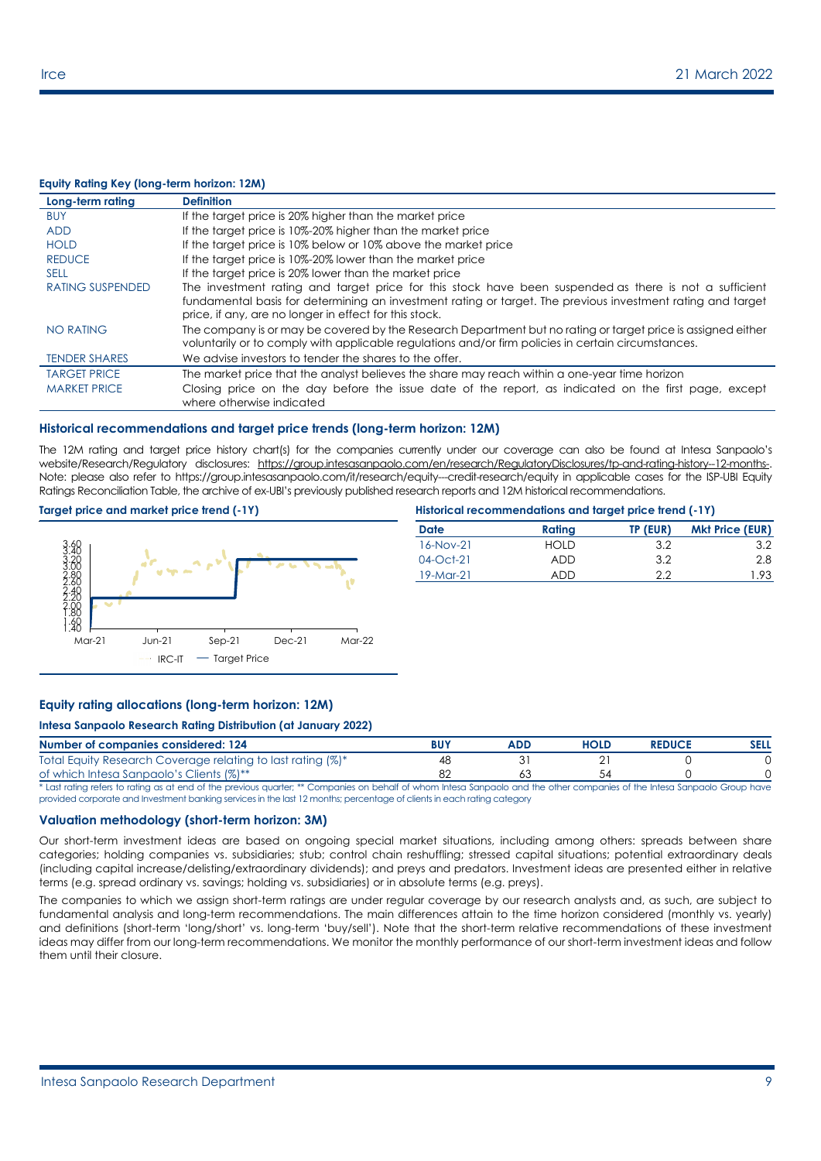#### **Equity Rating Key (long-term horizon: 12M)**

| Long-term rating        | <b>Definition</b>                                                                                            |
|-------------------------|--------------------------------------------------------------------------------------------------------------|
| <b>BUY</b>              | If the target price is 20% higher than the market price                                                      |
| <b>ADD</b>              | If the target price is 10%-20% higher than the market price                                                  |
| <b>HOLD</b>             | If the target price is 10% below or 10% above the market price                                               |
| <b>REDUCE</b>           | If the target price is 10%-20% lower than the market price                                                   |
| <b>SELL</b>             | If the target price is 20% lower than the market price                                                       |
| <b>RATING SUSPENDED</b> | The investment rating and target price for this stock have been suspended as there is not a sufficient       |
|                         | fundamental basis for determining an investment rating or target. The previous investment rating and target  |
|                         | price, if any, are no longer in effect for this stock.                                                       |
| NO RATING               | The company is or may be covered by the Research Department but no rating or target price is assigned either |
|                         | voluntarily or to comply with applicable regulations and/or firm policies in certain circumstances.          |
| <b>TENDER SHARES</b>    | We advise investors to tender the shares to the offer.                                                       |
| <b>TARGET PRICE</b>     | The market price that the analyst believes the share may reach within a one-year time horizon                |
| <b>MARKET PRICE</b>     | Closing price on the day before the issue date of the report, as indicated on the first page, except         |
|                         | where otherwise indicated                                                                                    |

#### **Historical recommendations and target price trends (long-term horizon: 12M)**

The 12M rating and target price history chart(s) for the companies currently under our coverage can also be found at Intesa Sanpaolo's website/Research/Regulatory disclosures: [https://group.intesasanpaolo.com/en/research/RegulatoryDisclosures/tp-and-rating-history--12-months-.](https://group.intesasanpaolo.com/en/research/RegulatoryDisclosures/tp-and-rating-history--12-months-) Note: please also refer to https://group.intesasanpaolo.com/it/research/equity--credit-research/equity in applicable cases for the ISP-UBI Equity Ratings Reconciliation Table, the archive of ex-UBI's previously published research reports and 12M historical recommendations.

#### **Target price and market price trend (-1Y) H**



| istorical recommendations and target price trend (-1Y) |  |  |
|--------------------------------------------------------|--|--|
|                                                        |  |  |

| <b>Date</b> | Rating | TP (EUR) | <b>Mkt Price (EUR)</b> |
|-------------|--------|----------|------------------------|
| $16-Nov-21$ | HOLD   | 3.2      | 3.2                    |
| $04-Oct-21$ | ADD    | 3.2      | 2.8                    |
| $19-Mar-21$ | ADD    | つつ       | .93                    |

#### **Equity rating allocations (long-term horizon: 12M)**

#### **Intesa Sanpaolo Research Rating Distribution (at January 2022)**

| Number of companies considered: 124                         | ADD | <b>HOLD</b> | <b>REDUCT</b> | <b>SELL</b> |
|-------------------------------------------------------------|-----|-------------|---------------|-------------|
| Total Equity Research Coverage relating to last rating (%)* |     |             |               |             |
| of which Intesa Sanpaolo's Clients (%)**                    | oc  |             |               |             |

\* Last rating refers to rating as at end of the previous quarter; \*\* Companies on behalf of whom Intesa Sanpaolo and the other companies of the Intesa Sanpaolo Group have provided corporate and Investment banking services in the last 12 months; percentage of clients in each rating category

#### **Valuation methodology (short-term horizon: 3M)**

Our short-term investment ideas are based on ongoing special market situations, including among others: spreads between share categories; holding companies vs. subsidiaries; stub; control chain reshuffling; stressed capital situations; potential extraordinary deals (including capital increase/delisting/extraordinary dividends); and preys and predators. Investment ideas are presented either in relative terms (e.g. spread ordinary vs. savings; holding vs. subsidiaries) or in absolute terms (e.g. preys).

The companies to which we assign short-term ratings are under regular coverage by our research analysts and, as such, are subject to fundamental analysis and long-term recommendations. The main differences attain to the time horizon considered (monthly vs. yearly) and definitions (short-term 'long/short' vs. long-term 'buy/sell'). Note that the short-term relative recommendations of these investment ideas may differ from our long-term recommendations. We monitor the monthly performance of our short-term investment ideas and follow them until their closure.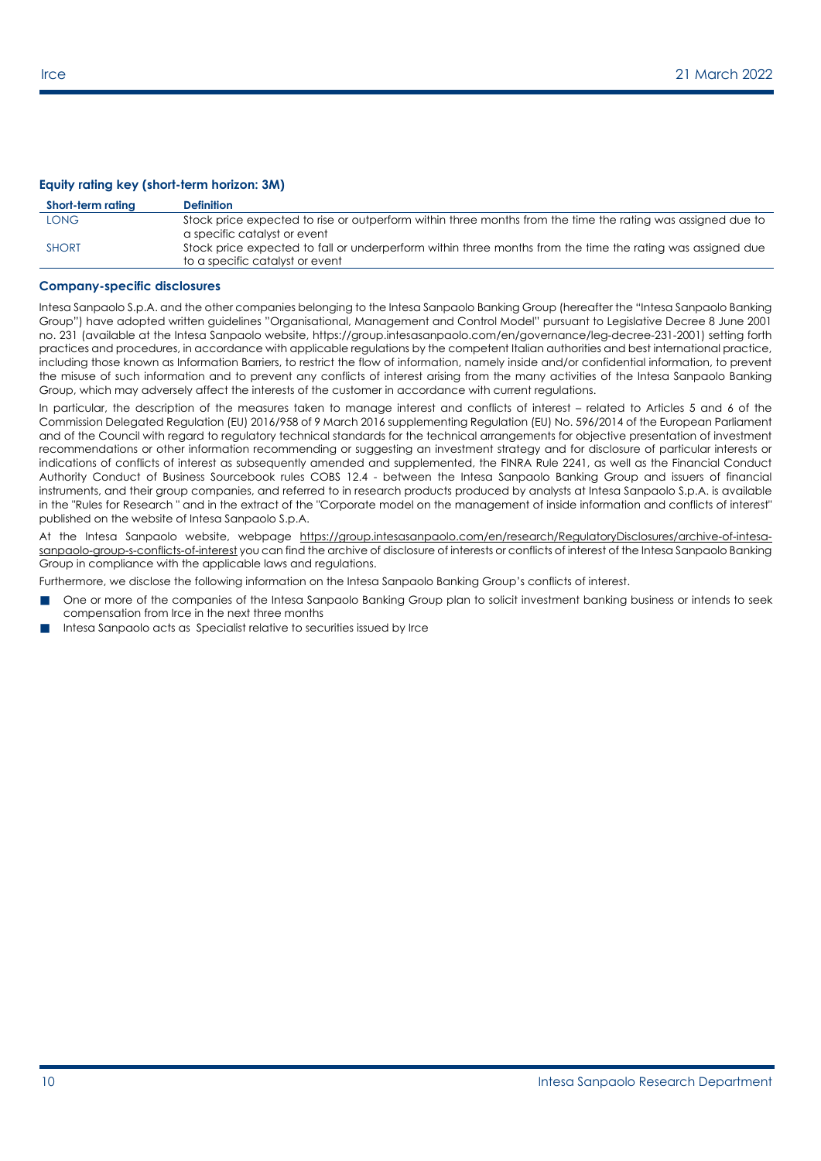#### **Equity rating key (short-term horizon: 3M)**

| Short-term rating | <b>Definition</b>                                                                                                                             |
|-------------------|-----------------------------------------------------------------------------------------------------------------------------------------------|
| <b>LONG</b>       | Stock price expected to rise or outperform within three months from the time the rating was assigned due to                                   |
|                   | a specific catalyst or event                                                                                                                  |
| <b>SHORT</b>      | Stock price expected to fall or underperform within three months from the time the rating was assigned due<br>to a specific catalyst or event |

#### **Company-specific disclosures**

Intesa Sanpaolo S.p.A. and the other companies belonging to the Intesa Sanpaolo Banking Group (hereafter the "Intesa Sanpaolo Banking Group") have adopted written guidelines "Organisational, Management and Control Model" pursuant to Legislative Decree 8 June 2001 no. 231 (available at the Intesa Sanpaolo website, https://group.intesasanpaolo.com/en/governance/leg-decree-231-2001) setting forth practices and procedures, in accordance with applicable regulations by the competent Italian authorities and best international practice, including those known as Information Barriers, to restrict the flow of information, namely inside and/or confidential information, to prevent the misuse of such information and to prevent any conflicts of interest arising from the many activities of the Intesa Sanpaolo Banking Group, which may adversely affect the interests of the customer in accordance with current regulations.

In particular, the description of the measures taken to manage interest and conflicts of interest – related to Articles 5 and 6 of the Commission Delegated Regulation (EU) 2016/958 of 9 March 2016 supplementing Regulation (EU) No. 596/2014 of the European Parliament and of the Council with regard to regulatory technical standards for the technical arrangements for objective presentation of investment recommendations or other information recommending or suggesting an investment strategy and for disclosure of particular interests or indications of conflicts of interest as subsequently amended and supplemented, the FINRA Rule 2241, as well as the Financial Conduct Authority Conduct of Business Sourcebook rules COBS 12.4 - between the Intesa Sanpaolo Banking Group and issuers of financial instruments, and their group companies, and referred to in research products produced by analysts at Intesa Sanpaolo S.p.A. is available in the "Rules for Research " and in the extract of the "Corporate model on the management of inside information and conflicts of interest" published on the website of Intesa Sanpaolo S.p.A.

At the Intesa Sanpaolo website, webpage [https://group.intesasanpaolo.com/en/research/RegulatoryDisclosures/archive-of-intesa](https://group.intesasanpaolo.com/en/research/RegulatoryDisclosures/archive-of-intesa-sanpaolo-group-s-conflicts-of-interest)[sanpaolo-group-s-conflicts-of-interest](https://group.intesasanpaolo.com/en/research/RegulatoryDisclosures/archive-of-intesa-sanpaolo-group-s-conflicts-of-interest) you can find the archive of disclosure of interests or conflicts of interest of the Intesa Sanpaolo Banking Group in compliance with the applicable laws and regulations.

Furthermore, we disclose the following information on the Intesa Sanpaolo Banking Group's conflicts of interest.

- One or more of the companies of the Intesa Sanpaolo Banking Group plan to solicit investment banking business or intends to seek compensation from Irce in the next three months
- Intesa Sanpaolo acts as Specialist relative to securities issued by Irce